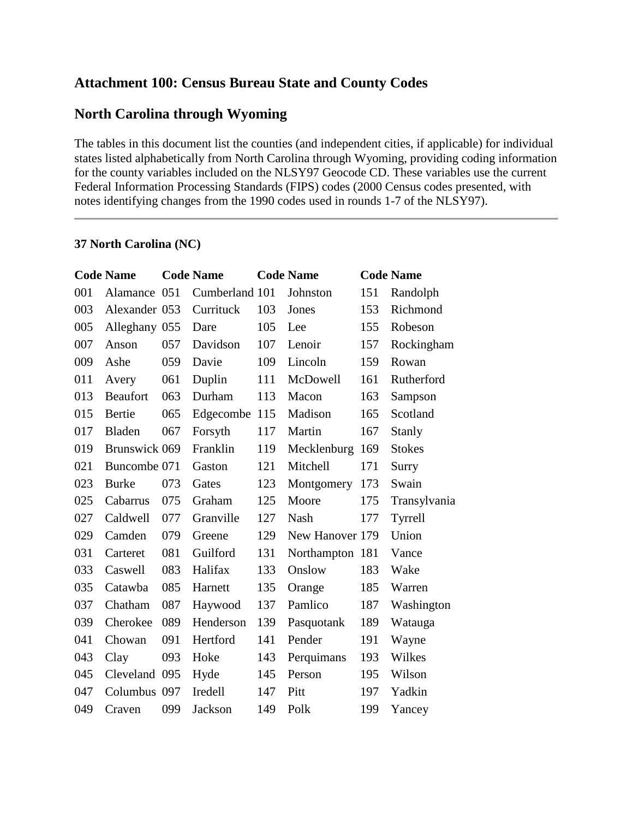# **Attachment 100: Census Bureau State and County Codes**

#### **North Carolina through Wyoming**

The tables in this document list the counties (and independent cities, if applicable) for individual states listed alphabetically from North Carolina through Wyoming, providing coding information for the county variables included on the NLSY97 Geocode CD. These variables use the current Federal Information Processing Standards (FIPS) codes (2000 Census codes presented, with notes identifying changes from the 1990 codes used in rounds 1-7 of the NLSY97).

#### **37 North Carolina (NC)**

|     | <b>Code Name</b> |     | <b>Code Name</b> |     | <b>Code Name</b> |     | <b>Code Name</b> |
|-----|------------------|-----|------------------|-----|------------------|-----|------------------|
| 001 | Alamance 051     |     | Cumberland 101   |     | Johnston         | 151 | Randolph         |
| 003 | Alexander 053    |     | Currituck        | 103 | Jones            | 153 | Richmond         |
| 005 | Alleghany 055    |     | Dare             | 105 | Lee              | 155 | Robeson          |
| 007 | Anson            | 057 | Davidson         | 107 | Lenoir           | 157 | Rockingham       |
| 009 | Ashe             | 059 | Davie            | 109 | Lincoln          | 159 | Rowan            |
| 011 | Avery            | 061 | Duplin           | 111 | McDowell         | 161 | Rutherford       |
| 013 | <b>Beaufort</b>  | 063 | Durham           | 113 | Macon            | 163 | Sampson          |
| 015 | Bertie           | 065 | Edgecombe 115    |     | Madison          | 165 | Scotland         |
| 017 | Bladen           | 067 | Forsyth          | 117 | Martin           | 167 | Stanly           |
| 019 | Brunswick 069    |     | Franklin         | 119 | Mecklenburg      | 169 | <b>Stokes</b>    |
| 021 | Buncombe 071     |     | Gaston           | 121 | Mitchell         | 171 | Surry            |
| 023 | <b>Burke</b>     | 073 | Gates            | 123 | Montgomery       | 173 | Swain            |
| 025 | Cabarrus         | 075 | Graham           | 125 | Moore            | 175 | Transylvania     |
| 027 | Caldwell         | 077 | Granville        | 127 | Nash             | 177 | Tyrrell          |
| 029 | Camden           | 079 | Greene           | 129 | New Hanover 179  |     | Union            |
| 031 | Carteret         | 081 | Guilford         | 131 | Northampton 181  |     | Vance            |
| 033 | Caswell          | 083 | Halifax          | 133 | Onslow           | 183 | Wake             |
| 035 | Catawba          | 085 | Harnett          | 135 | Orange           | 185 | Warren           |
| 037 | Chatham          | 087 | Haywood          | 137 | Pamlico          | 187 | Washington       |
| 039 | Cherokee         | 089 | Henderson        | 139 | Pasquotank       | 189 | Watauga          |
| 041 | Chowan           | 091 | Hertford         | 141 | Pender           | 191 | Wayne            |
| 043 | Clay             | 093 | Hoke             | 143 | Perquimans       | 193 | Wilkes           |
| 045 | Cleveland 095    |     | Hyde             | 145 | Person           | 195 | Wilson           |
| 047 | Columbus 097     |     | Iredell          | 147 | Pitt             | 197 | Yadkin           |
| 049 | Craven           | 099 | <b>Jackson</b>   | 149 | Polk             | 199 | Yancey           |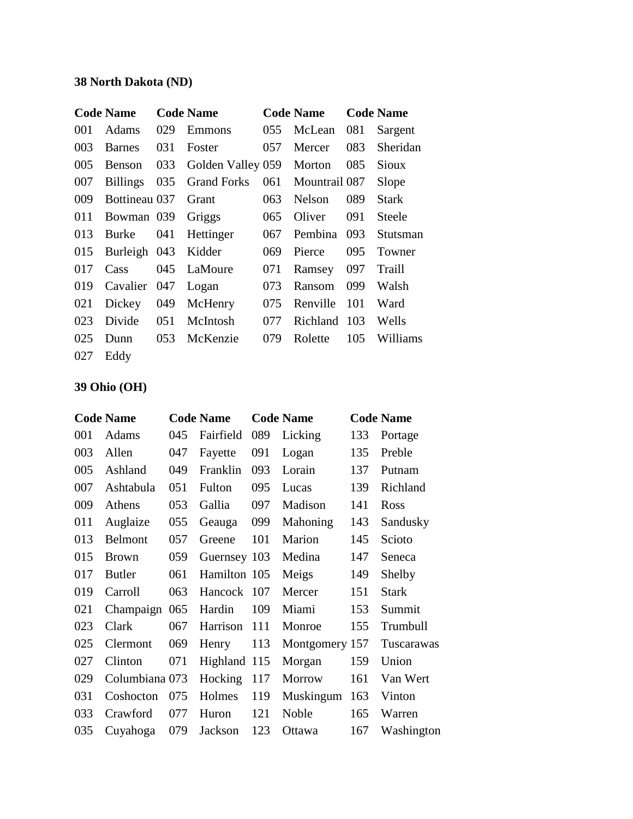### **38 North Dakota (ND)**

|     | <b>Code Name</b> |     | <b>Code Name</b>   |     | <b>Code Name</b> |     | <b>Code Name</b> |
|-----|------------------|-----|--------------------|-----|------------------|-----|------------------|
| 001 | Adams            | 029 | Emmons             | 055 | McLean           | 081 | Sargent          |
| 003 | <b>Barnes</b>    | 031 | Foster             | 057 | Mercer           | 083 | Sheridan         |
| 005 | Benson           | 033 | Golden Valley 059  |     | Morton           | 085 | Sioux            |
| 007 | <b>Billings</b>  | 035 | <b>Grand Forks</b> | 061 | Mountrail 087    |     | Slope            |
| 009 | Bottineau 037    |     | Grant              | 063 | <b>Nelson</b>    | 089 | Stark            |
| 011 | Bowman 039       |     | Griggs             | 065 | Oliver           | 091 | <b>Steele</b>    |
| 013 | <b>Burke</b>     | 041 | Hettinger          | 067 | Pembina          | 093 | Stutsman         |
| 015 | Burleigh 043     |     | Kidder             | 069 | Pierce           | 095 | Towner           |
| 017 | Cass             | 045 | LaMoure            | 071 | Ramsey           | 097 | Traill           |
| 019 | Cavalier         | 047 | Logan              | 073 | Ransom           | 099 | Walsh            |
| 021 | Dickey           | 049 | McHenry            | 075 | Renville         | 101 | Ward             |
| 023 | Divide           | 051 | McIntosh           | 077 | Richland         | 103 | Wells            |
| 025 | Dunn             | 053 | McKenzie           | 079 | Rolette          | 105 | Williams         |
| 027 | Eddy             |     |                    |     |                  |     |                  |

## **39 Ohio (OH)**

|     | <b>Code Name</b> |     | <b>Code Name</b> |     | <b>Code Name</b> |     | <b>Code Name</b> |
|-----|------------------|-----|------------------|-----|------------------|-----|------------------|
| 001 | Adams            | 045 | Fairfield        | 089 | Licking          | 133 | Portage          |
| 003 | Allen            | 047 | Fayette          | 091 | Logan            | 135 | Preble           |
| 005 | Ashland          | 049 | Franklin         | 093 | Lorain           | 137 | Putnam           |
| 007 | Ashtabula        | 051 | Fulton           | 095 | Lucas            | 139 | Richland         |
| 009 | Athens           | 053 | Gallia           | 097 | Madison          | 141 | Ross             |
| 011 | Auglaize         | 055 | Geauga           | 099 | <b>Mahoning</b>  | 143 | Sandusky         |
| 013 | Belmont          | 057 | Greene           | 101 | Marion           | 145 | Scioto           |
| 015 | <b>Brown</b>     | 059 | Guernsey 103     |     | Medina           | 147 | Seneca           |
| 017 | <b>Butler</b>    | 061 | Hamilton 105     |     | Meigs            | 149 | Shelby           |
| 019 | Carroll          | 063 | Hancock          | 107 | Mercer           | 151 | <b>Stark</b>     |
| 021 | Champaign        | 065 | Hardin           | 109 | Miami            | 153 | Summit           |
| 023 | Clark            | 067 | Harrison         | 111 | Monroe           | 155 | Trumbull         |
| 025 | Clermont         | 069 | Henry            | 113 | Montgomery 157   |     | Tuscarawas       |
| 027 | Clinton          | 071 | Highland 115     |     | Morgan           | 159 | Union            |
| 029 | Columbiana 073   |     | Hocking          | 117 | Morrow           | 161 | Van Wert         |
| 031 | Coshocton        | 075 | Holmes           | 119 | Muskingum        | 163 | Vinton           |
| 033 | Crawford         | 077 | Huron            | 121 | Noble            | 165 | Warren           |
| 035 | Cuyahoga         | 079 | Jackson          | 123 | Ottawa           | 167 | Washington       |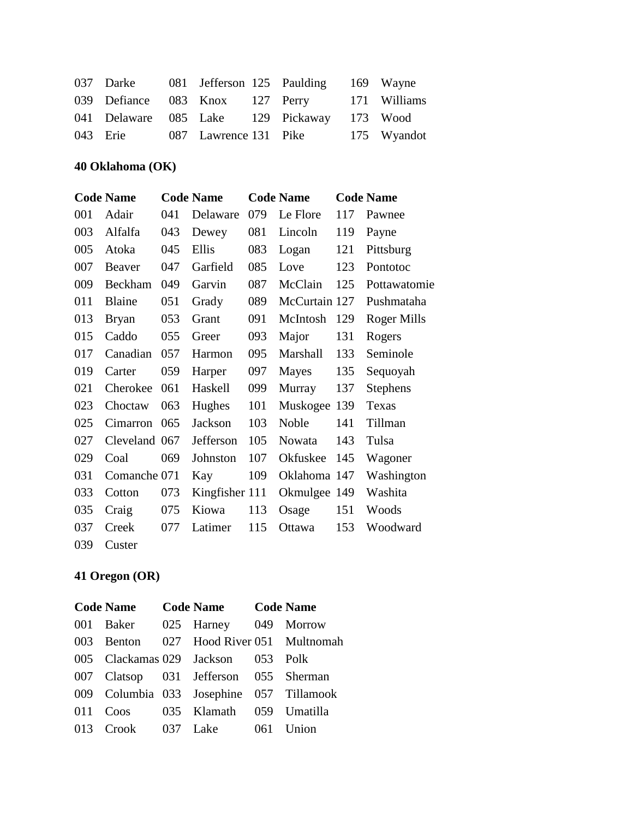|                                |  | 037 Darke 081 Jefferson 125 Paulding 169 Wayne |             |
|--------------------------------|--|------------------------------------------------|-------------|
|                                |  | 039 Defiance 083 Knox 127 Perry 171 Williams   |             |
|                                |  | 041 Delaware 085 Lake 129 Pickaway 173 Wood    |             |
| 043 Erie 087 Lawrence 131 Pike |  |                                                | 175 Wyandot |

#### **40 Oklahoma (OK)**

|     | <b>Code Name</b> |     | <b>Code Name</b> |     | <b>Code Name</b> |     | <b>Code Name</b>   |
|-----|------------------|-----|------------------|-----|------------------|-----|--------------------|
| 001 | Adair            | 041 | Delaware         | 079 | Le Flore         | 117 | Pawnee             |
| 003 | Alfalfa          | 043 | Dewey            | 081 | Lincoln          | 119 | Payne              |
| 005 | Atoka            | 045 | Ellis            | 083 | Logan            | 121 | Pittsburg          |
| 007 | Beaver           | 047 | Garfield         | 085 | Love             | 123 | Pontotoc           |
| 009 | Beckham          | 049 | Garvin           | 087 | McClain          | 125 | Pottawatomie       |
| 011 | Blaine           | 051 | Grady            | 089 | McCurtain 127    |     | Pushmataha         |
| 013 | <b>Bryan</b>     | 053 | Grant            | 091 | McIntosh         | 129 | <b>Roger Mills</b> |
| 015 | Caddo            | 055 | Greer            | 093 | Major            | 131 | Rogers             |
| 017 | Canadian         | 057 | Harmon           | 095 | Marshall         | 133 | Seminole           |
| 019 | Carter           | 059 | Harper           | 097 | Mayes            | 135 | Sequoyah           |
| 021 | Cherokee         | 061 | Haskell          | 099 | Murray           | 137 | <b>Stephens</b>    |
| 023 | Choctaw          | 063 | Hughes           | 101 | Muskogee         | 139 | Texas              |
| 025 | Cimarron         | 065 | Jackson          | 103 | <b>Noble</b>     | 141 | Tillman            |
| 027 | Cleveland 067    |     | Jefferson        | 105 | Nowata           | 143 | Tulsa              |
| 029 | Coal             | 069 | Johnston         | 107 | Okfuskee         | 145 | Wagoner            |
| 031 | Comanche 071     |     | Kay              | 109 | Oklahoma 147     |     | Washington         |
| 033 | Cotton           | 073 | Kingfisher 111   |     | Okmulgee 149     |     | Washita            |
| 035 | Craig            | 075 | Kiowa            | 113 | Osage            | 151 | Woods              |
| 037 | Creek            | 077 | Latimer          | 115 | Ottawa           | 153 | Woodward           |
| 039 | Custer           |     |                  |     |                  |     |                    |

## **41 Oregon (OR)**

| <b>Code Name</b> | Code Name Code Name                      |       |
|------------------|------------------------------------------|-------|
|                  | 001 Baker 025 Harney 049 Morrow          |       |
|                  | 003 Benton 027 Hood River 051 Multnomah  |       |
|                  | 005 Clackamas 029 Jackson 053 Polk       |       |
|                  | 007 Clatsop 031 Jefferson 055 Sherman    |       |
|                  | 009 Columbia 033 Josephine 057 Tillamook |       |
|                  | 011 Coos 035 Klamath 059 Umatilla        |       |
|                  | 013 Crook 037 Lake 061                   | Union |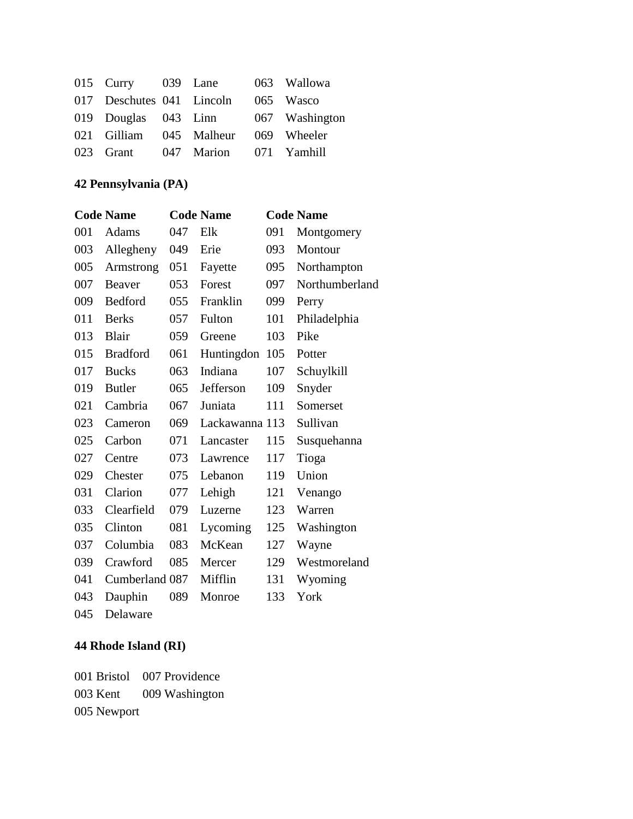| 015 Curry 039 Lane        |                                  | 063 Wallowa    |
|---------------------------|----------------------------------|----------------|
| 017 Deschutes 041 Lincoln |                                  | 065 Wasco      |
|                           | 019 Douglas 043 Linn             | 067 Washington |
|                           | 021 Gilliam 045 Malheur          | 069 Wheeler    |
|                           | 023 Grant 047 Marion 071 Yamhill |                |

## **42 Pennsylvania (PA)**

|     | <b>Code Name</b> |     | <b>Code Name</b> |     | <b>Code Name</b> |
|-----|------------------|-----|------------------|-----|------------------|
| 001 | Adams            | 047 | Elk              | 091 | Montgomery       |
| 003 | Allegheny        | 049 | Erie             | 093 | Montour          |
| 005 | Armstrong        | 051 | Fayette          | 095 | Northampton      |
| 007 | Beaver           | 053 | Forest           | 097 | Northumberland   |
| 009 | Bedford          | 055 | Franklin         | 099 | Perry            |
| 011 | <b>Berks</b>     | 057 | Fulton           | 101 | Philadelphia     |
| 013 | Blair            | 059 | Greene           | 103 | Pike             |
| 015 | <b>Bradford</b>  | 061 | Huntingdon       | 105 | Potter           |
| 017 | <b>Bucks</b>     | 063 | Indiana          | 107 | Schuylkill       |
| 019 | <b>Butler</b>    | 065 | Jefferson        | 109 | Snyder           |
| 021 | Cambria          | 067 | Juniata          | 111 | Somerset         |
| 023 | Cameron          | 069 | Lackawanna 113   |     | Sullivan         |
| 025 | Carbon           | 071 | Lancaster        | 115 | Susquehanna      |
| 027 | Centre           | 073 | Lawrence         | 117 | Tioga            |
| 029 | Chester          | 075 | Lebanon          | 119 | Union            |
| 031 | Clarion          | 077 | Lehigh           | 121 | Venango          |
| 033 | Clearfield       | 079 | Luzerne          | 123 | Warren           |
| 035 | Clinton          | 081 | Lycoming         | 125 | Washington       |
| 037 | Columbia         | 083 | McKean           | 127 | Wayne            |
| 039 | Crawford         | 085 | Mercer           | 129 | Westmoreland     |
| 041 | Cumberland 087   |     | Mifflin          | 131 | Wyoming          |
| 043 | Dauphin          | 089 | Monroe           | 133 | York             |
|     |                  |     |                  |     |                  |

045 Delaware

## **44 Rhode Island (RI)**

001 Bristol 007 Providence 003 Kent 009 Washington 005 Newport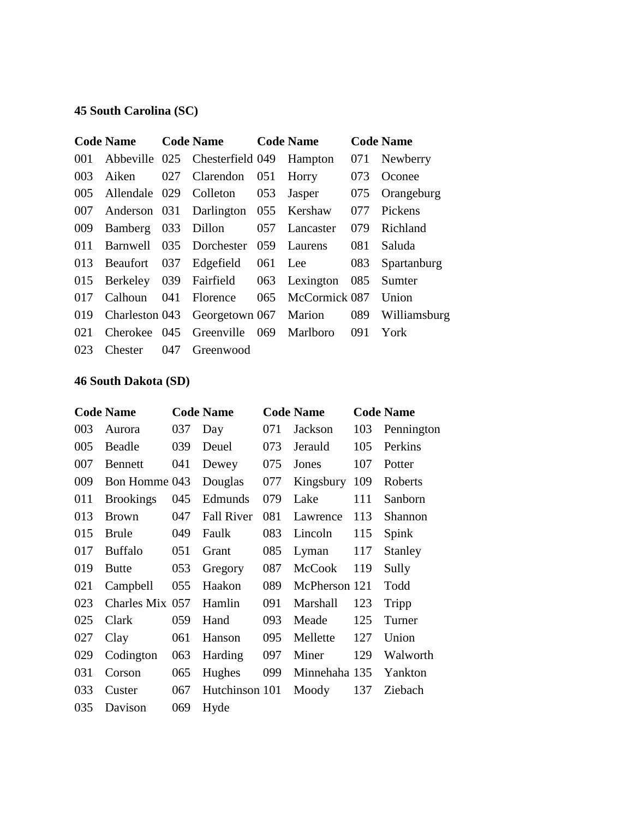### **45 South Carolina (SC)**

|     | <b>Code Name</b> |     | <b>Code Name</b>                     |     | <b>Code Name</b> |     | <b>Code Name</b> |
|-----|------------------|-----|--------------------------------------|-----|------------------|-----|------------------|
| 001 |                  |     | Abbeville 025 Chesterfield 049       |     | Hampton          | 071 | Newberry         |
| 003 | Aiken            | 027 | Clarendon                            | 051 | Horry            | 073 | Oconee           |
| 005 | Allendale 029    |     | Colleton                             | 053 | Jasper           | 075 | Orangeburg       |
| 007 |                  |     | Anderson 031 Darlington 055          |     | Kershaw          | 077 | Pickens          |
| 009 | Bamberg          | 033 | Dillon                               | 057 | Lancaster        | 079 | Richland         |
| 011 | Barnwell         |     | 035 Dorchester                       | 059 | Laurens          | 081 | Saluda           |
| 013 | Beaufort 037     |     | Edgefield                            |     | 061 Lee          | 083 | Spartanburg      |
| 015 |                  |     | Berkeley 039 Fairfield               |     | 063 Lexington    | 085 | Sumter           |
| 017 | Calhoun          | 041 | Florence                             | 065 | McCormick 087    |     | Union            |
| 019 |                  |     | Charleston 043 Georgetown 067 Marion |     |                  | 089 | Williamsburg     |
| 021 | Cherokee 045     |     | Greenville 069                       |     | Marlboro         | 091 | York             |
| 023 | <b>Chester</b>   | 047 | Greenwood                            |     |                  |     |                  |

#### **46 South Dakota (SD)**

|     | <b>Code Name</b> |     | <b>Code Name</b>  |     | <b>Code Name</b> |     | <b>Code Name</b> |
|-----|------------------|-----|-------------------|-----|------------------|-----|------------------|
| 003 | Aurora           | 037 | Day               | 071 | Jackson          | 103 | Pennington       |
| 005 | Beadle           | 039 | Deuel             | 073 | Jerauld          | 105 | Perkins          |
| 007 | Bennett          | 041 | Dewey             | 075 | Jones            | 107 | Potter           |
| 009 | Bon Homme 043    |     | Douglas           | 077 | Kingsbury        | 109 | Roberts          |
| 011 | <b>Brookings</b> | 045 | Edmunds           | 079 | Lake             | 111 | Sanborn          |
| 013 | <b>Brown</b>     | 047 | <b>Fall River</b> | 081 | Lawrence         | 113 | Shannon          |
| 015 | <b>Brule</b>     | 049 | Faulk             | 083 | Lincoln          | 115 | Spink            |
| 017 | <b>Buffalo</b>   | 051 | Grant             | 085 | Lyman            | 117 | Stanley          |
| 019 | <b>Butte</b>     | 053 | Gregory           | 087 | <b>McCook</b>    | 119 | Sully            |
| 021 | Campbell         | 055 | Haakon            | 089 | McPherson 121    |     | Todd             |
| 023 | Charles Mix 057  |     | Hamlin            | 091 | Marshall         | 123 | Tripp            |
| 025 | Clark            | 059 | Hand              | 093 | Meade            | 125 | Turner           |
| 027 | Clay             | 061 | Hanson            | 095 | Mellette         | 127 | Union            |
| 029 | Codington        | 063 | Harding           | 097 | Miner            | 129 | Walworth         |
| 031 | Corson           | 065 | Hughes            | 099 | Minnehaha 135    |     | Yankton          |
| 033 | Custer           | 067 | Hutchinson 101    |     | Moody            | 137 | Ziebach          |
| 035 | Davison          | 069 | Hyde              |     |                  |     |                  |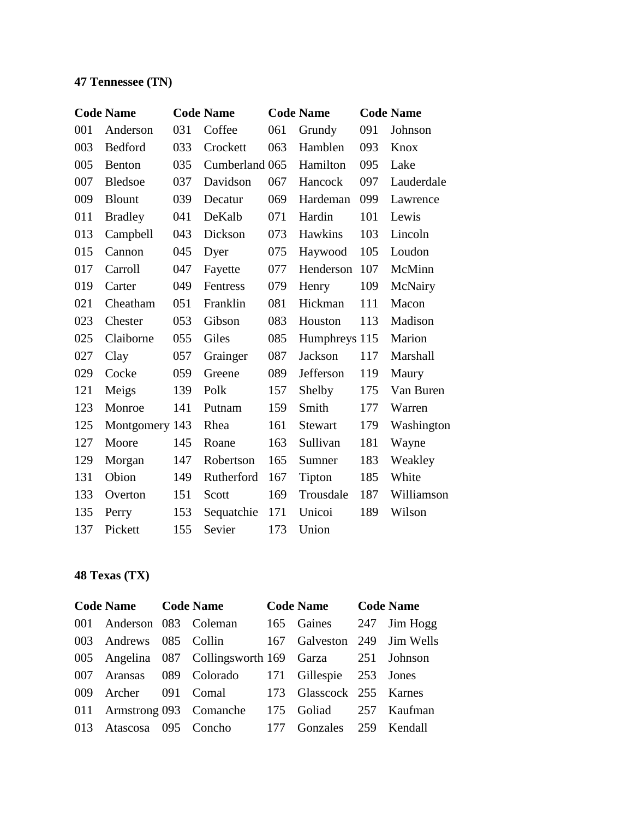### **47 Tennessee (TN)**

|     | <b>Code Name</b> |     | <b>Code Name</b> |     | <b>Code Name</b> |     | <b>Code Name</b> |
|-----|------------------|-----|------------------|-----|------------------|-----|------------------|
| 001 | Anderson         | 031 | Coffee           | 061 | Grundy           | 091 | Johnson          |
| 003 | Bedford          | 033 | Crockett         | 063 | Hamblen          | 093 | Knox             |
| 005 | Benton           | 035 | Cumberland 065   |     | Hamilton         | 095 | Lake             |
| 007 | <b>Bledsoe</b>   | 037 | Davidson         | 067 | Hancock          | 097 | Lauderdale       |
| 009 | <b>Blount</b>    | 039 | Decatur          | 069 | Hardeman         | 099 | Lawrence         |
| 011 | <b>Bradley</b>   | 041 | DeKalb           | 071 | Hardin           | 101 | Lewis            |
| 013 | Campbell         | 043 | Dickson          | 073 | Hawkins          | 103 | Lincoln          |
| 015 | Cannon           | 045 | Dyer             | 075 | Haywood          | 105 | Loudon           |
| 017 | Carroll          | 047 | Fayette          | 077 | Henderson        | 107 | McMinn           |
| 019 | Carter           | 049 | Fentress         | 079 | Henry            | 109 | McNairy          |
| 021 | Cheatham         | 051 | Franklin         | 081 | Hickman          | 111 | Macon            |
| 023 | Chester          | 053 | Gibson           | 083 | Houston          | 113 | Madison          |
| 025 | Claiborne        | 055 | Giles            | 085 | Humphreys 115    |     | Marion           |
| 027 | Clay             | 057 | Grainger         | 087 | Jackson          | 117 | Marshall         |
| 029 | Cocke            | 059 | Greene           | 089 | Jefferson        | 119 | Maury            |
| 121 | Meigs            | 139 | Polk             | 157 | Shelby           | 175 | Van Buren        |
| 123 | Monroe           | 141 | Putnam           | 159 | Smith            | 177 | Warren           |
| 125 | Montgomery 143   |     | Rhea             | 161 | Stewart          | 179 | Washington       |
| 127 | Moore            | 145 | Roane            | 163 | Sullivan         | 181 | Wayne            |
| 129 | Morgan           | 147 | Robertson        | 165 | Sumner           | 183 | Weakley          |
| 131 | Obion            | 149 | Rutherford       | 167 | Tipton           | 185 | White            |
| 133 | Overton          | 151 | Scott            | 169 | Trousdale        | 187 | Williamson       |
| 135 | Perry            | 153 | Sequatchie       | 171 | Unicoi           | 189 | Wilson           |
| 137 | Pickett          | 155 | Sevier           | 173 | Union            |     |                  |

### **48 Texas (TX)**

| Code Name Code Name |                                                      | Code Name Code Name         |  |
|---------------------|------------------------------------------------------|-----------------------------|--|
|                     | 001 Anderson 083 Coleman                             | 165 Gaines 247 Jim Hogg     |  |
|                     | 003 Andrews 085 Collin                               | 167 Galveston 249 Jim Wells |  |
|                     | 005 Angelina 087 Collingsworth 169 Garza 251 Johnson |                             |  |
|                     | 007 Aransas 089 Colorado 171 Gillespie 253 Jones     |                             |  |
|                     | 009 Archer 091 Comal 173 Glasscock 255 Karnes        |                             |  |
|                     | 011 Armstrong 093 Comanche 175 Goliad 257 Kaufman    |                             |  |
|                     | 013 Atascosa 095 Concho 177 Gonzales 259 Kendall     |                             |  |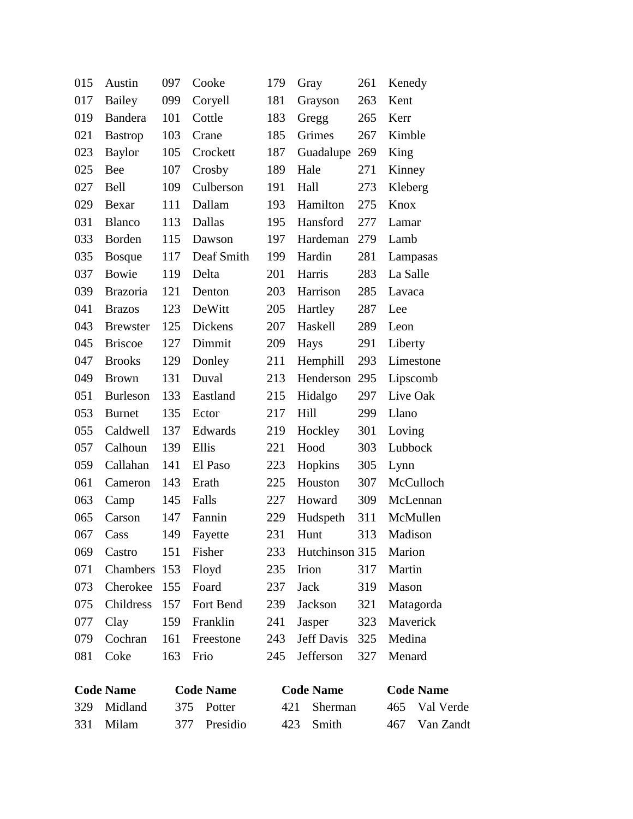|     | <b>Code Name</b> |     | <b>Code Name</b> |     | <b>Code Name</b> |     | <b>Code Name</b> |
|-----|------------------|-----|------------------|-----|------------------|-----|------------------|
| 081 | Coke             | 163 | Frio             | 245 | Jefferson        | 327 | Menard           |
| 079 | Cochran          | 161 | Freestone        | 243 | Jeff Davis       | 325 | Medina           |
| 077 | Clay             | 159 | Franklin         | 241 | Jasper           | 323 | Maverick         |
| 075 | Childress        | 157 | Fort Bend        | 239 | Jackson          | 321 | Matagorda        |
| 073 | Cherokee         | 155 | Foard            | 237 | Jack             | 319 | Mason            |
| 071 | Chambers         | 153 | Floyd            | 235 | Irion            | 317 | Martin           |
| 069 | Castro           | 151 | Fisher           | 233 | Hutchinson 315   |     | Marion           |
| 067 | Cass             | 149 | Fayette          | 231 | Hunt             | 313 | Madison          |
| 065 | Carson           | 147 | Fannin           | 229 | Hudspeth         | 311 | McMullen         |
| 063 | Camp             | 145 | Falls            | 227 | Howard           | 309 | McLennan         |
| 061 | Cameron          | 143 | Erath            | 225 | Houston          | 307 | McCulloch        |
| 059 | Callahan         | 141 | El Paso          | 223 | Hopkins          | 305 | Lynn             |
| 057 | Calhoun          | 139 | Ellis            | 221 | Hood             | 303 | Lubbock          |
| 055 | Caldwell         | 137 | Edwards          | 219 | Hockley          | 301 | Loving           |
| 053 | <b>Burnet</b>    | 135 | Ector            | 217 | Hill             | 299 | Llano            |
| 051 | Burleson         | 133 | Eastland         | 215 | Hidalgo          | 297 | Live Oak         |
| 049 | <b>Brown</b>     | 131 | Duval            | 213 | Henderson        | 295 | Lipscomb         |
| 047 | <b>Brooks</b>    | 129 | Donley           | 211 | Hemphill         | 293 | Limestone        |
| 045 | <b>Briscoe</b>   | 127 | Dimmit           | 209 | Hays             | 291 | Liberty          |
| 043 | <b>Brewster</b>  | 125 | <b>Dickens</b>   | 207 | Haskell          | 289 | Leon             |
| 041 | <b>Brazos</b>    | 123 | DeWitt           | 205 | Hartley          | 287 | Lee              |
| 039 | <b>Brazoria</b>  | 121 | Denton           | 203 | Harrison         | 285 | Lavaca           |
| 037 | Bowie            | 119 | Delta            | 201 | Harris           | 283 | La Salle         |
| 035 | <b>Bosque</b>    | 117 | Deaf Smith       | 199 | Hardin           | 281 | Lampasas         |
| 033 | Borden           | 115 | Dawson           | 197 | Hardeman         | 279 | Lamb             |
| 031 | Blanco           | 113 | Dallas           | 195 | Hansford         | 277 | Lamar            |
| 029 | Bexar            | 111 | Dallam           | 193 | Hamilton         | 275 | Knox             |
| 027 | Bell             | 109 | Culberson        | 191 | Hall             | 273 | Kleberg          |
| 025 | <b>Bee</b>       | 107 | Crosby           | 189 | Hale             | 271 | Kinney           |
| 023 | <b>Baylor</b>    | 105 | Crockett         | 187 | Guadalupe        | 269 | King             |
| 021 | <b>Bastrop</b>   | 103 | Crane            | 185 | Grimes           | 267 | Kimble           |
| 019 | <b>Bandera</b>   | 101 | Cottle           | 183 | Gregg            | 265 | Kerr             |
| 017 | <b>Bailey</b>    | 099 | Coryell          | 181 | Grayson          | 263 | Kent             |
| 015 | Austin           | 097 | Cooke            | 179 | Gray             | 261 | Kenedy           |
|     |                  |     |                  |     |                  |     |                  |

| <b>Code Name</b> |             | <b>Code Name</b> |              | <b>Code Name</b> | <b>Code Name</b> |               |  |
|------------------|-------------|------------------|--------------|------------------|------------------|---------------|--|
|                  | 329 Midland |                  | 375 Potter   | 421 Sherman      |                  | 465 Val Verde |  |
|                  | 331 Milam   |                  | 377 Presidio | 423 Smith        |                  | 467 Van Zandt |  |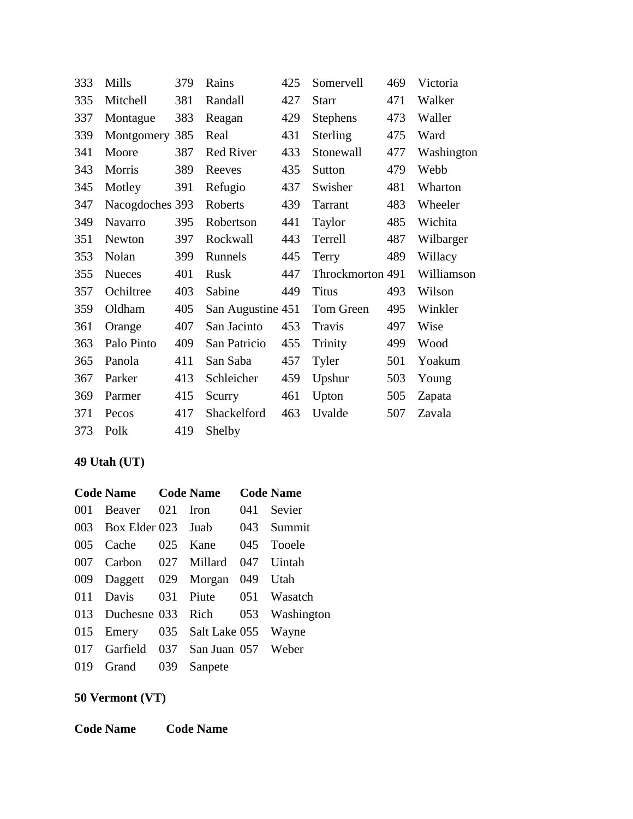| 333 | Mills           | 379 | Rains             | 425 | Somervell        | 469 | Victoria   |
|-----|-----------------|-----|-------------------|-----|------------------|-----|------------|
| 335 | Mitchell        | 381 | Randall           | 427 | <b>Starr</b>     | 471 | Walker     |
| 337 | Montague        | 383 | Reagan            | 429 | <b>Stephens</b>  | 473 | Waller     |
| 339 | Montgomery      | 385 | Real              | 431 | Sterling         | 475 | Ward       |
| 341 | Moore           | 387 | <b>Red River</b>  | 433 | Stonewall        | 477 | Washington |
| 343 | Morris          | 389 | Reeves            | 435 | Sutton           | 479 | Webb       |
| 345 | Motley          | 391 | Refugio           | 437 | Swisher          | 481 | Wharton    |
| 347 | Nacogdoches 393 |     | Roberts           | 439 | <b>Tarrant</b>   | 483 | Wheeler    |
| 349 | Navarro         | 395 | Robertson         | 441 | Taylor           | 485 | Wichita    |
| 351 | Newton          | 397 | Rockwall          | 443 | Terrell          | 487 | Wilbarger  |
| 353 | Nolan           | 399 | Runnels           | 445 | Terry            | 489 | Willacy    |
| 355 | <b>Nueces</b>   | 401 | Rusk              | 447 | Throckmorton 491 |     | Williamson |
| 357 | Ochiltree       | 403 | Sabine            | 449 | <b>Titus</b>     | 493 | Wilson     |
| 359 | Oldham          | 405 | San Augustine 451 |     | Tom Green        | 495 | Winkler    |
| 361 | Orange          | 407 | San Jacinto       | 453 | Travis           | 497 | Wise       |
| 363 | Palo Pinto      | 409 | San Patricio      | 455 | Trinity          | 499 | Wood       |
| 365 | Panola          | 411 | San Saba          | 457 | Tyler            | 501 | Yoakum     |
| 367 | Parker          | 413 | Schleicher        | 459 | Upshur           | 503 | Young      |
| 369 | Parmer          | 415 | Scurry            | 461 | Upton            | 505 | Zapata     |
| 371 | Pecos           | 417 | Shackelford       | 463 | Uvalde           | 507 | Zavala     |
| 373 | Polk            | 419 | Shelby            |     |                  |     |            |

#### **49 Utah (UT)**

|     | <b>Code Name</b> Code Name      |     |         |     | <b>Code Name</b>                     |
|-----|---------------------------------|-----|---------|-----|--------------------------------------|
| 001 | Beaver 021                      |     | Iron    | 041 | Sevier                               |
| 003 | Box Elder 023 Juab 043 Summit   |     |         |     |                                      |
| 005 | Cache 025 Kane                  |     |         |     | 045 Tooele                           |
| 007 | Carbon 027 Millard              |     |         | 047 | Uintah                               |
| 009 | Daggett 029 Morgan 049 Utah     |     |         |     |                                      |
|     | 011 Davis 031 Piute 051 Wasatch |     |         |     |                                      |
|     |                                 |     |         |     | 013 Duchesne 033 Rich 053 Washington |
| 015 | Emery 035 Salt Lake 055         |     |         |     | Wayne                                |
| 017 | Garfield 037 San Juan 057 Weber |     |         |     |                                      |
| 019 | Grand                           | 039 | Sanpete |     |                                      |

#### **50 Vermont (VT)**

**Code Name Code Name**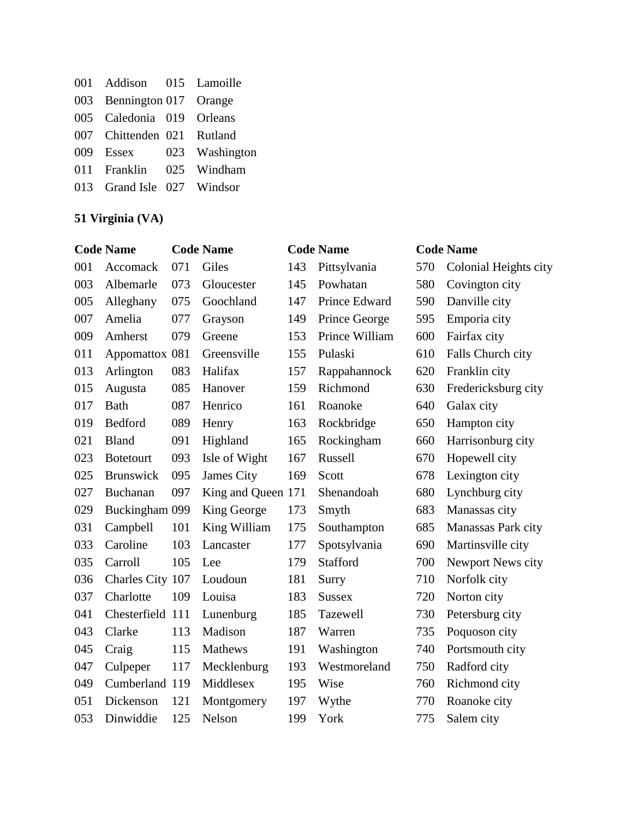| 001 Addison 015 Lamoille   |                          |
|----------------------------|--------------------------|
| 003 Bennington 017 Orange  |                          |
| 005 Caledonia 019 Orleans  |                          |
| 007 Chittenden 021 Rutland |                          |
|                            | 009 Essex 023 Washington |
| 011 Franklin 025 Windham   |                          |
| 013 Grand Isle 027 Windsor |                          |

## **51 Virginia (VA)**

|     | <b>Code Name</b> |     | <b>Code Name</b>   |     | <b>Code Name</b> |     | <b>Code Name</b>      |
|-----|------------------|-----|--------------------|-----|------------------|-----|-----------------------|
| 001 | Accomack         | 071 | Giles              | 143 | Pittsylvania     | 570 | Colonial Heights city |
| 003 | Albemarle        | 073 | Gloucester         | 145 | Powhatan         | 580 | Covington city        |
| 005 | Alleghany        | 075 | Goochland          | 147 | Prince Edward    | 590 | Danville city         |
| 007 | Amelia           | 077 | Grayson            | 149 | Prince George    | 595 | Emporia city          |
| 009 | Amherst          | 079 | Greene             | 153 | Prince William   | 600 | Fairfax city          |
| 011 | Appomattox 081   |     | Greensville        | 155 | Pulaski          | 610 | Falls Church city     |
| 013 | Arlington        | 083 | Halifax            | 157 | Rappahannock     | 620 | Franklin city         |
| 015 | Augusta          | 085 | Hanover            | 159 | Richmond         | 630 | Fredericksburg city   |
| 017 | <b>Bath</b>      | 087 | Henrico            | 161 | Roanoke          | 640 | Galax city            |
| 019 | Bedford          | 089 | Henry              | 163 | Rockbridge       | 650 | Hampton city          |
| 021 | <b>Bland</b>     | 091 | Highland           | 165 | Rockingham       | 660 | Harrisonburg city     |
| 023 | <b>Botetourt</b> | 093 | Isle of Wight      | 167 | Russell          | 670 | Hopewell city         |
| 025 | <b>Brunswick</b> | 095 | James City         | 169 | Scott            | 678 | Lexington city        |
| 027 | Buchanan         | 097 | King and Queen 171 |     | Shenandoah       | 680 | Lynchburg city        |
| 029 | Buckingham 099   |     | King George        | 173 | Smyth            | 683 | Manassas city         |
| 031 | Campbell         | 101 | King William       | 175 | Southampton      | 685 | Manassas Park city    |
| 033 | Caroline         | 103 | Lancaster          | 177 | Spotsylvania     | 690 | Martinsville city     |
| 035 | Carroll          | 105 | Lee                | 179 | Stafford         | 700 | Newport News city     |
| 036 | Charles City 107 |     | Loudoun            | 181 | Surry            | 710 | Norfolk city          |
| 037 | Charlotte        | 109 | Louisa             | 183 | <b>Sussex</b>    | 720 | Norton city           |
| 041 | Chesterfield 111 |     | Lunenburg          | 185 | Tazewell         | 730 | Petersburg city       |
| 043 | Clarke           | 113 | Madison            | 187 | Warren           | 735 | Poquoson city         |
| 045 | Craig            | 115 | Mathews            | 191 | Washington       | 740 | Portsmouth city       |
| 047 | Culpeper         | 117 | Mecklenburg        | 193 | Westmoreland     | 750 | Radford city          |
| 049 | Cumberland 119   |     | Middlesex          | 195 | Wise             | 760 | Richmond city         |
| 051 | Dickenson        | 121 | Montgomery         | 197 | Wythe            | 770 | Roanoke city          |
| 053 | Dinwiddie        | 125 | Nelson             | 199 | York             | 775 | Salem city            |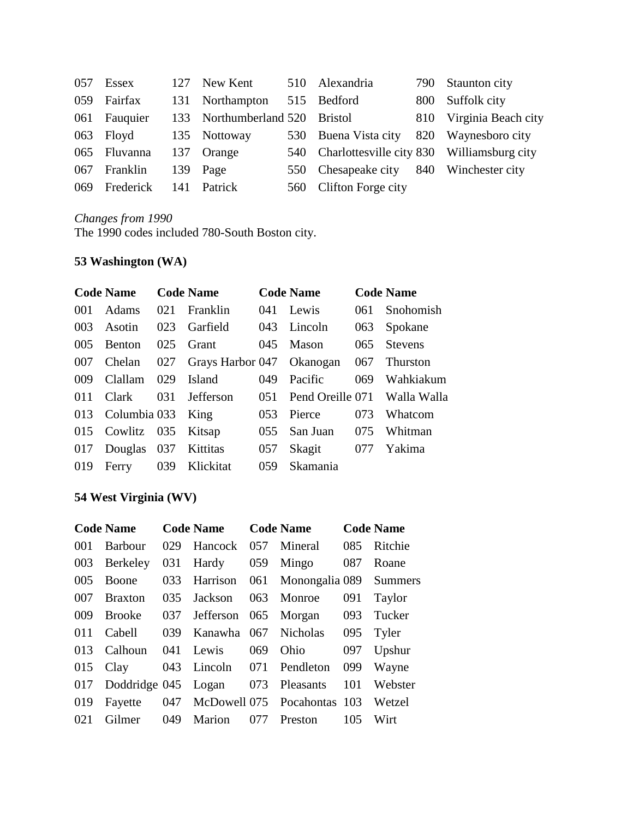| 057 | Essex         | 127 | New Kent               | 510 Alexandria                                 | 790 | Staunton city       |
|-----|---------------|-----|------------------------|------------------------------------------------|-----|---------------------|
| 059 | Fairfax       |     | 131 Northampton        | 515 Bedford                                    | 800 | Suffolk city        |
| 061 | Fauquier      |     | 133 Northumberland 520 | <b>Bristol</b>                                 | 810 | Virginia Beach city |
| 063 | Floyd         |     | 135 Nottoway           | 530 Buena Vista city                           | 820 | Waynesboro city     |
|     | 065 Fluvanna  |     | 137 Orange             | 540 Charlottesville city 830 Williamsburg city |     |                     |
| 067 | Franklin      | 139 | Page                   | 550 Chesapeake city 840                        |     | Winchester city     |
|     | 069 Frederick | 141 | <b>Patrick</b>         | 560 Clifton Forge city                         |     |                     |

*Changes from 1990* The 1990 codes included 780-South Boston city.

#### **53 Washington (WA)**

|     | <b>Code Name</b>      |     | <b>Code Name</b>              |      | <b>Code Name</b> |        | <b>Code Name</b>             |
|-----|-----------------------|-----|-------------------------------|------|------------------|--------|------------------------------|
| 001 | Adams                 | 021 | <b>Franklin</b>               | 041  | Lewis            | 061    | Snohomish                    |
| 003 | Asotin                | 023 | Garfield                      | 043  | Lincoln          | 063    | Spokane                      |
| 005 | <b>Benton</b>         | 025 | Grant                         |      | $045$ Mason      | $065-$ | <b>Stevens</b>               |
| 007 | Chelan                |     | 027 Grays Harbor 047 Okanogan |      |                  | 067    | Thurston                     |
| 009 | Clallam               | 029 | Island                        | 049  | Pacific          | 069    | Wahkiakum                    |
| 011 | Clark                 | 031 | Jefferson                     | 051  |                  |        | Pend Oreille 071 Walla Walla |
|     | 013 Columbia 033 King |     |                               | 053  | Pierce           | 073    | Whatcom                      |
|     | 015 Cowlitz 035       |     | Kitsap                        | 0.55 | San Juan         | 075    | Whitman                      |
| 017 | Douglas 037           |     | Kittitas                      | 057  | Skagit           | 077    | Yakima                       |
| 019 | Ferry                 | 039 | Klickitat                     | 059  | Skamania         |        |                              |

# **54 West Virginia (WV)**

|     | <b>Code Name</b>        |     | <b>Code Name</b>  |     | <b>Code Name</b>                |     | <b>Code Name</b> |
|-----|-------------------------|-----|-------------------|-----|---------------------------------|-----|------------------|
| 001 | Barbour                 | 029 | Hancock           | 057 | Mineral                         | 085 | Ritchie          |
| 003 | Berkeley                |     | 031 Hardy         | 059 | Mingo                           | 087 | Roane            |
| 005 | Boone                   |     |                   |     | 033 Harrison 061 Monongalia 089 |     | <b>Summers</b>   |
| 007 | <b>Braxton</b>          | 035 | Jackson           | 063 | Monroe                          | 091 | Taylor           |
| 009 | Brooke                  |     | 037 Jefferson 065 |     | Morgan                          | 093 | Tucker           |
| 011 | Cabell                  | 039 | Kanawha 067       |     | Nicholas                        | 095 | Tyler            |
| 013 | Calhoun                 | 041 | Lewis             | 069 | Ohio                            | 097 | Upshur           |
| 015 | Clay                    |     | 043 Lincoln 071   |     | Pendleton                       | 099 | Wayne            |
| 017 | Doddridge 045 Logan 073 |     |                   |     | Pleasants                       | 101 | Webster          |
| 019 | Fayette                 |     |                   |     | 047 McDowell 075 Pocahontas 103 |     | Wetzel           |
| 021 | Gilmer                  | 049 | Marion            | 077 | Preston                         | 105 | Wirt             |